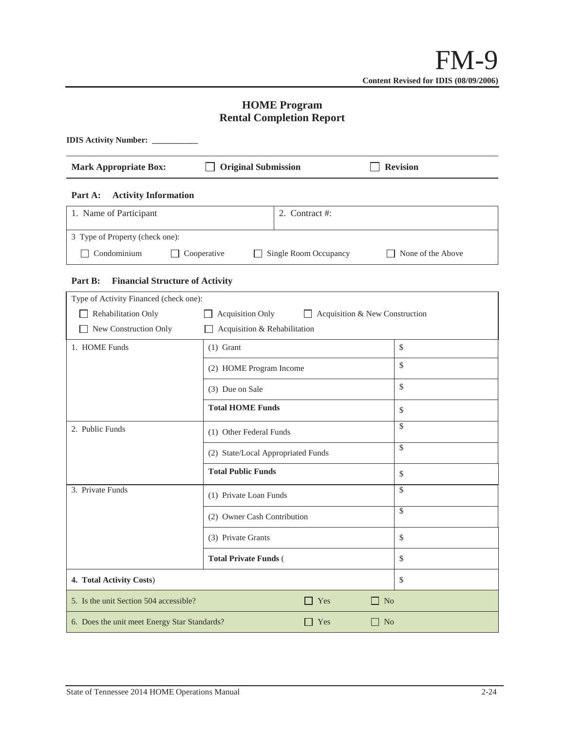# **HOME Program Rental Completion Report**

| <b>IDIS Activity Number:</b>                               |                                            |  |  |  |  |  |  |
|------------------------------------------------------------|--------------------------------------------|--|--|--|--|--|--|
| <b>Original Submission</b><br><b>Mark Appropriate Box:</b> | <b>Revision</b>                            |  |  |  |  |  |  |
| <b>Activity Information</b><br>Part A:                     |                                            |  |  |  |  |  |  |
| 1. Name of Participant                                     | 2. Contract #:                             |  |  |  |  |  |  |
| 3 Type of Property (check one):                            |                                            |  |  |  |  |  |  |
| Condominium<br>Cooperative                                 | Single Room Occupancy<br>None of the Above |  |  |  |  |  |  |

## **Part B: Financial Structure of Activity**

| Type of Activity Financed (check one):       |                                                                  |    |  |  |  |  |
|----------------------------------------------|------------------------------------------------------------------|----|--|--|--|--|
| Rehabilitation Only                          | <b>Acquisition Only</b><br>$\Box$ Acquisition & New Construction |    |  |  |  |  |
| New Construction Only                        | Acquisition & Rehabilitation                                     |    |  |  |  |  |
| 1. HOME Funds                                | $(1)$ Grant                                                      | \$ |  |  |  |  |
|                                              | (2) HOME Program Income                                          | \$ |  |  |  |  |
|                                              | (3) Due on Sale                                                  | \$ |  |  |  |  |
|                                              | <b>Total HOME Funds</b>                                          | \$ |  |  |  |  |
| 2. Public Funds                              | (1) Other Federal Funds                                          | \$ |  |  |  |  |
|                                              | (2) State/Local Appropriated Funds                               | \$ |  |  |  |  |
|                                              | <b>Total Public Funds</b>                                        | \$ |  |  |  |  |
| 3. Private Funds                             | (1) Private Loan Funds                                           | \$ |  |  |  |  |
|                                              | (2) Owner Cash Contribution                                      | \$ |  |  |  |  |
|                                              | (3) Private Grants                                               | \$ |  |  |  |  |
|                                              | <b>Total Private Funds (</b>                                     | \$ |  |  |  |  |
| 4. Total Activity Costs)                     | \$                                                               |    |  |  |  |  |
| 5. Is the unit Section 504 accessible?       | Yes<br>N <sub>o</sub><br>$\Box$                                  |    |  |  |  |  |
| 6. Does the unit meet Energy Star Standards? | N <sub>o</sub>                                                   |    |  |  |  |  |